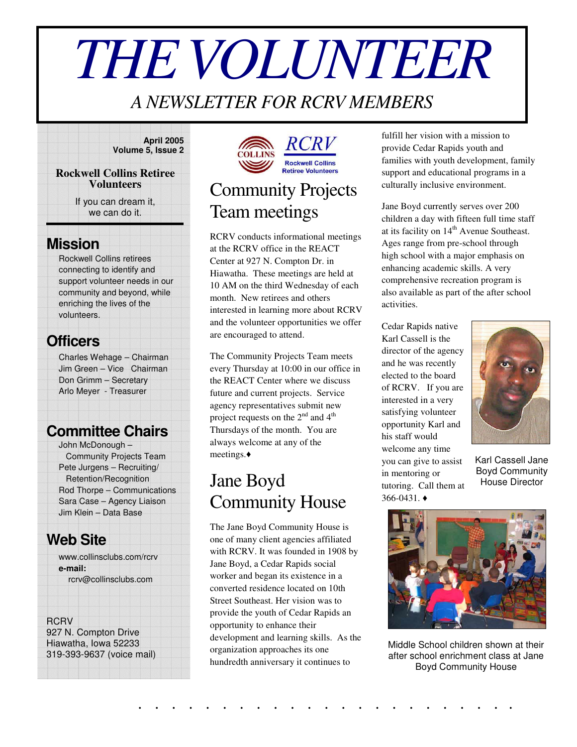# *THEVOLUNTEER*

#### *A NEWSLETTER FOR RCRV MEMBERS*

#### **April 2005 Volume 5, Issue 2**

#### **Rockwell Collins Retiree Volunteers**

If you can dream it, we can do it.

#### **Mission**

Rockwell Collins retirees connecting to identify and support volunteer needs in our community and beyond, while enriching the lives of the volunteers.

#### **Officers**

Charles Wehage – Chairman Jim Green – Vice Chairman Don Grimm – Secretary Arlo Meyer - Treasurer

#### **Committee Chairs**

John McDonough – Community Projects Team Pete Jurgens – Recruiting/ Retention/Recognition Rod Thorpe – Communications Sara Case – Agency Liaison Jim Klein – Data Base

#### **Web Site**

www.collinsclubs.com/rcrv **e-mail:** rcrv@collinsclubs.com

#### **RCRV**

927 N. Compton Drive Hiawatha, Iowa 52233 319-393-9637 (voice mail)



## Community Projects Team meetings

RCRV conducts informational meetings at the RCRV office in the REACT Center at 927 N. Compton Dr. in Hiawatha. These meetings are held at 10 AM on the third Wednesday of each month. New retirees and others interested in learning more about RCRV and the volunteer opportunities we offer are encouraged to attend.

The Community Projects Team meets every Thursday at 10:00 in our office in the REACT Center where we discuss future and current projects. Service agency representatives submit new project requests on the  $2<sup>nd</sup>$  and  $4<sup>th</sup>$ Thursdays of the month. You are always welcome at any of the meetings.

## Jane Boyd Community House

The Jane Boyd Community House is one of many client agencies affiliated with RCRV. It was founded in 1908 by Jane Boyd, a Cedar Rapids social worker and began its existence in a converted residence located on 10th Street Southeast. Her vision was to provide the youth of Cedar Rapids an opportunity to enhance their development and learning skills. As the organization approaches its one hundredth anniversary it continues to

fulfill her vision with a mission to provide Cedar Rapids youth and families with youth development, family support and educational programs in a culturally inclusive environment.

Jane Boyd currently serves over 200 children a day with fifteen full time staff at its facility on 14<sup>th</sup> Avenue Southeast. Ages range from pre-school through high school with a major emphasis on enhancing academic skills. A very comprehensive recreation program is also available as part of the after school activities.

Cedar Rapids native Karl Cassell is the director of the agency and he was recently elected to the board of RCRV. If you are interested in a very satisfying volunteer opportunity Karl and his staff would welcome any time you can give to assist in mentoring or tutoring. Call them at  $366 - 0431.$   $\triangleleft$ 



Karl Cassell Jane Boyd Community House Director



Middle School children shown at their after school enrichment class at Jane Boyd Community House

. . . . . . . . . . . . . . . . . . . . . . .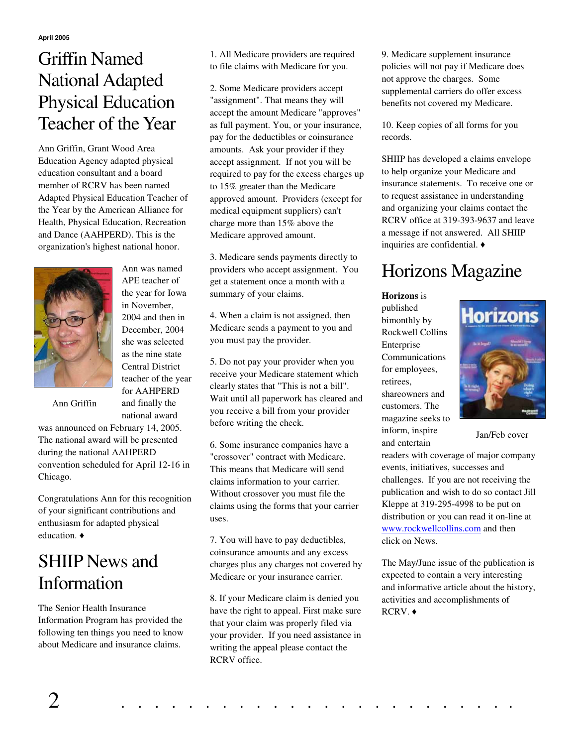### Griffin Named National Adapted Physical Education Teacher of the Year

Ann Griffin, Grant Wood Area Education Agency adapted physical education consultant and a board member of RCRV has been named Adapted Physical Education Teacher of the Year by the American Alliance for Health, Physical Education, Recreation and Dance (AAHPERD). This is the organization's highest national honor.



Ann was named APE teacher of the year for Iowa in November, 2004 and then in December, 2004 she was selected as the nine state Central District teacher of the year for AAHPERD and finally the national award

Ann Griffin

was announced on February 14, 2005. The national award will be presented during the national AAHPERD convention scheduled for April 12-16 in Chicago.

Congratulations Ann for this recognition of your significant contributions and enthusiasm for adapted physical education.  $\triangleleft$ 

## SHIIP News and Information

The Senior Health Insurance Information Program has provided the following ten things you need to know about Medicare and insurance claims.

1. All Medicare providers are required to file claims with Medicare for you.

2. Some Medicare providers accept "assignment". That means they will accept the amount Medicare "approves" as full payment. You, or your insurance, pay for the deductibles or coinsurance amounts. Ask your provider if they accept assignment. If not you will be required to pay for the excess charges up to 15% greater than the Medicare approved amount. Providers (except for medical equipment suppliers) can't charge more than 15% above the Medicare approved amount.

3. Medicare sends payments directly to providers who accept assignment. You get a statement once a month with a summary of your claims.

4. When a claim is not assigned, then Medicare sends a payment to you and you must pay the provider.

5. Do not pay your provider when you receive your Medicare statement which clearly states that "This is not a bill". Wait until all paperwork has cleared and you receive a bill from your provider before writing the check.

6. Some insurance companies have a "crossover" contract with Medicare. This means that Medicare will send claims information to your carrier. Without crossover you must file the claims using the forms that your carrier uses.

7. You will have to pay deductibles, coinsurance amounts and any excess charges plus any charges not covered by Medicare or your insurance carrier.

8. If your Medicare claim is denied you have the right to appeal. First make sure that your claim was properly filed via your provider. If you need assistance in writing the appeal please contact the RCRV office.

9. Medicare supplement insurance policies will not pay if Medicare does not approve the charges. Some supplemental carriers do offer excess benefits not covered my Medicare.

10. Keep copies of all forms for you records.

SHIIP has developed a claims envelope to help organize your Medicare and insurance statements. To receive one or to request assistance in understanding and organizing your claims contact the RCRV office at 319-393-9637 and leave a message if not answered. All SHIIP inquiries are confidential.

## Horizons Magazine

**Horizons** is published bimonthly by Rockwell Collins Enterprise Communications for employees, retirees, shareowners and customers. The magazine seeks to inform, inspire and entertain



Jan/Feb cover

readers with coverage of major company events, initiatives, successes and challenges. If you are not receiving the publication and wish to do so contact Jill Kleppe at 319-295-4998 to be put on distribution or you can read it on-line at www.rockwellcollins.com and then click on News.

The May/June issue of the publication is expected to contain a very interesting and informative article about the history, activities and accomplishments of RCRV. ◆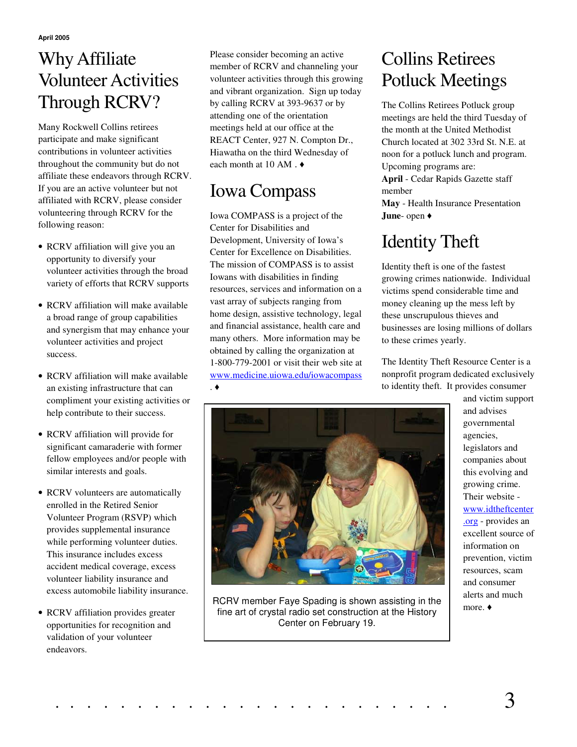**April 2005**

## WhyAffiliate Volunteer Activities Through RCRV?

Many Rockwell Collins retirees participate and make significant contributions in volunteer activities throughout the community but do not affiliate these endeavors through RCRV. If you are an active volunteer but not affiliated with RCRV, please consider volunteering through RCRV for the following reason:

- RCRV affiliation will give you an opportunity to diversify your volunteer activities through the broad variety of efforts that RCRV supports
- RCRV affiliation will make available a broad range of group capabilities and synergism that may enhance your volunteer activities and project success.
- RCRV affiliation will make available an existing infrastructure that can compliment your existing activities or help contribute to their success.
- RCRV affiliation will provide for significant camaraderie with former fellow employees and/or people with similar interests and goals.
- RCRV volunteers are automatically enrolled in the Retired Senior Volunteer Program (RSVP) which provides supplemental insurance while performing volunteer duties. This insurance includes excess accident medical coverage, excess volunteer liability insurance and excess automobile liability insurance.
- RCRV affiliation provides greater opportunities for recognition and validation of your volunteer endeavors.

Please consider becoming an active member of RCRV and channeling your volunteer activities through this growing and vibrant organization. Sign up today by calling RCRV at 393-9637 or by attending one of the orientation meetings held at our office at the REACT Center, 927 N. Compton Dr., Hiawatha on the third Wednesday of each month at 10 AM.  $\triangleleft$ 

### Iowa Compass

.

Iowa COMPASS is a project of the Center for Disabilities and Development, University of Iowa's Center for Excellence on Disabilities. The mission of COMPASS is to assist Iowans with disabilities in finding resources, services and information on a vast array of subjects ranging from home design, assistive technology, legal and financial assistance, health care and many others. More information may be obtained by calling the organization at 1-800-779-2001 or visit their web site at www.medicine.uiowa.edu/iowacompass

#### Collins Retirees Potluck Meetings

The Collins Retirees Potluck group meetings are held the third Tuesday of the month at the United Methodist Church located at 302 33rd St. N.E. at noon for a potluck lunch and program. Upcoming programs are:

**April** - Cedar Rapids Gazette staff member

**May** - Health Insurance Presentation **June**- open

# Identity Theft

Identity theft is one of the fastest growing crimes nationwide. Individual victims spend considerable time and money cleaning up the mess left by these unscrupulous thieves and businesses are losing millions of dollars to these crimes yearly.

The Identity Theft Resource Center is a nonprofit program dedicated exclusively to identity theft. It provides consumer



RCRV member Faye Spading is shown assisting in the fine art of crystal radio set construction at the History Center on February 19.

and victim support and advises governmental agencies, legislators and companies about this evolving and growing crime. Their website www.idtheftcenter .org - provides an excellent source of information on prevention, victim resources, scam and consumer alerts and much more. ♦